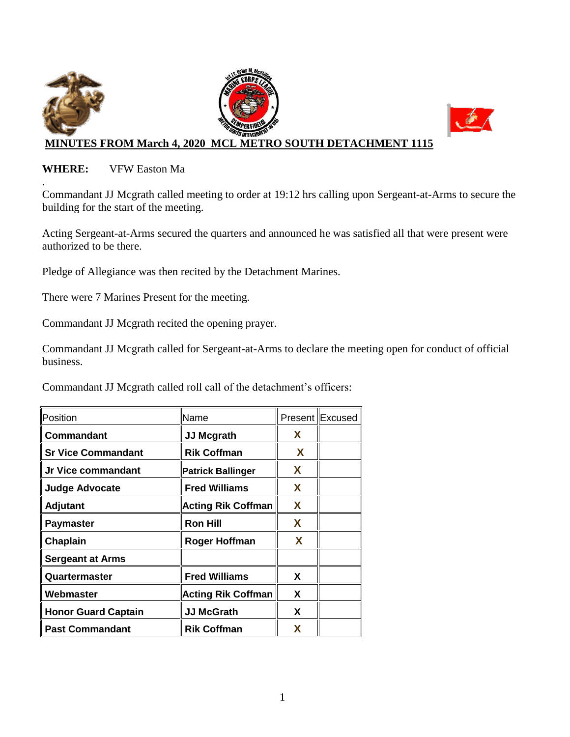

#### **WHERE:** VFW Easton Ma

. Commandant JJ Mcgrath called meeting to order at 19:12 hrs calling upon Sergeant-at-Arms to secure the building for the start of the meeting.

Acting Sergeant-at-Arms secured the quarters and announced he was satisfied all that were present were authorized to be there.

Pledge of Allegiance was then recited by the Detachment Marines.

There were 7 Marines Present for the meeting.

Commandant JJ Mcgrath recited the opening prayer.

Commandant JJ Mcgrath called for Sergeant-at-Arms to declare the meeting open for conduct of official business.

Commandant JJ Mcgrath called roll call of the detachment's officers:

| Position                   | Name                      |    | Present Excused |
|----------------------------|---------------------------|----|-----------------|
| Commandant                 | <b>JJ Mcgrath</b>         | X. |                 |
| <b>Sr Vice Commandant</b>  | <b>Rik Coffman</b>        | X  |                 |
| Jr Vice commandant         | <b>Patrick Ballinger</b>  | X  |                 |
| <b>Judge Advocate</b>      | <b>Fred Williams</b>      | X  |                 |
| <b>Adjutant</b>            | <b>Acting Rik Coffman</b> | X  |                 |
| <b>Paymaster</b>           | <b>Ron Hill</b>           | X  |                 |
| Chaplain                   | <b>Roger Hoffman</b>      | X  |                 |
| <b>Sergeant at Arms</b>    |                           |    |                 |
| Quartermaster              | <b>Fred Williams</b>      | X  |                 |
| Webmaster                  | <b>Acting Rik Coffman</b> | X  |                 |
| <b>Honor Guard Captain</b> | <b>JJ McGrath</b>         | X  |                 |
| <b>Past Commandant</b>     | <b>Rik Coffman</b>        | x  |                 |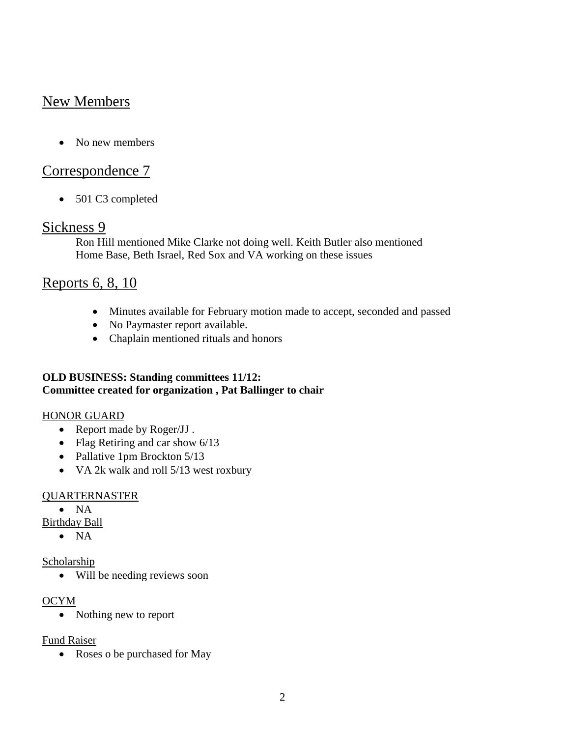# New Members

• No new members

## Correspondence 7

• 501 C3 completed

### Sickness 9

Ron Hill mentioned Mike Clarke not doing well. Keith Butler also mentioned Home Base, Beth Israel, Red Sox and VA working on these issues

# Reports 6, 8, 10

- Minutes available for February motion made to accept, seconded and passed
- No Paymaster report available.
- Chaplain mentioned rituals and honors

#### **OLD BUSINESS: Standing committees 11/12: Committee created for organization , Pat Ballinger to chair**

#### HONOR GUARD

- Report made by Roger/JJ.
- Flag Retiring and car show 6/13
- Pallative 1pm Brockton 5/13
- VA 2k walk and roll 5/13 west roxbury

#### QUARTERNASTER

 $\bullet$  NA

Birthday Ball

 $\bullet$  NA

#### Scholarship

Will be needing reviews soon

#### OCYM

• Nothing new to report

#### Fund Raiser

• Roses o be purchased for May